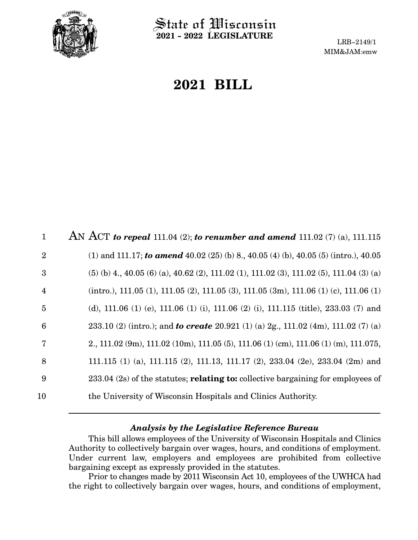

State of Wisconsin **2021 - 2022 LEGISLATURE**

LRB-2149/1 MIM&JAM:emw

## **2021 BILL**

| $\mathbf{1}$   | AN ACT to repeal 111.04 (2); to renumber and amend 111.02 (7) (a), 111.115                |
|----------------|-------------------------------------------------------------------------------------------|
| $\overline{2}$ | (1) and 111.17; to amend 40.02 (25) (b) 8., 40.05 (4) (b), 40.05 (5) (intro.), 40.05      |
| 3              | $(5)$ (b) 4, 40.05 (6) (a), 40.62 (2), 111.02 (1), 111.02 (3), 111.02 (5), 111.04 (3) (a) |
| $\overline{4}$ | $(intro.), 111.05 (1), 111.05 (2), 111.05 (3), 111.05 (3m), 111.06 (1) (c), 111.06 (1)$   |
| 5              | (d), 111.06 (1) (e), 111.06 (1) (i), 111.06 (2) (i), 111.115 (title), 233.03 (7) and      |
| 6              | 233.10 (2) (intro.); and <b>to create</b> 20.921 (1) (a) 2g., 111.02 (4m), 111.02 (7) (a) |
| 7              | 2., 111.02 (9m), 111.02 (10m), 111.05 (5), 111.06 (1) (cm), 111.06 (1) (m), 111.075,      |
| 8              | 111.115 (1) (a), 111.115 (2), 111.13, 111.17 (2), 233.04 (2e), 233.04 (2m) and            |
| 9              | $233.04$ (2s) of the statutes; <b>relating to:</b> collective bargaining for employees of |
| 10             | the University of Wisconsin Hospitals and Clinics Authority.                              |

## *Analysis by the Legislative Reference Bureau*

This bill allows employees of the University of Wisconsin Hospitals and Clinics Authority to collectively bargain over wages, hours, and conditions of employment. Under current law, employers and employees are prohibited from collective bargaining except as expressly provided in the statutes.

Prior to changes made by 2011 Wisconsin Act 10, employees of the UWHCA had the right to collectively bargain over wages, hours, and conditions of employment,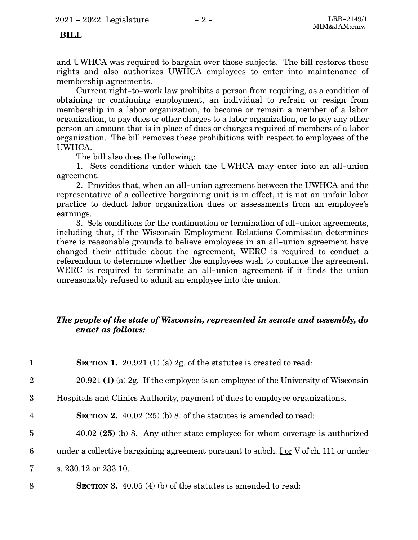## **BILL**

and UWHCA was required to bargain over those subjects. The bill restores those rights and also authorizes UWHCA employees to enter into maintenance of membership agreements.

Current right-to-work law prohibits a person from requiring, as a condition of obtaining or continuing employment, an individual to refrain or resign from membership in a labor organization, to become or remain a member of a labor organization, to pay dues or other charges to a labor organization, or to pay any other person an amount that is in place of dues or charges required of members of a labor organization. The bill removes these prohibitions with respect to employees of the UWHCA.

The bill also does the following:

1. Sets conditions under which the UWHCA may enter into an all-union agreement.

2. Provides that, when an all-union agreement between the UWHCA and the representative of a collective bargaining unit is in effect, it is not an unfair labor practice to deduct labor organization dues or assessments from an employee's earnings.

3. Sets conditions for the continuation or termination of all-union agreements, including that, if the Wisconsin Employment Relations Commission determines there is reasonable grounds to believe employees in an all-union agreement have changed their attitude about the agreement, WERC is required to conduct a referendum to determine whether the employees wish to continue the agreement. WERC is required to terminate an all-union agreement if it finds the union unreasonably refused to admit an employee into the union.

## *The people of the state of Wisconsin, represented in senate and assembly, do enact as follows:*

| $\mathbf{1}$   | <b>SECTION 1.</b> 20.921 (1) (a) 2g. of the statutes is created to read:             |
|----------------|--------------------------------------------------------------------------------------|
| $\overline{2}$ | $20.921(1)$ (a) 2g. If the employee is an employee of the University of Wisconsin    |
| 3              | Hospitals and Clinics Authority, payment of dues to employee organizations.          |
| $\overline{4}$ | <b>SECTION 2.</b> 40.02 (25) (b) 8. of the statutes is amended to read:              |
| $\overline{5}$ | $40.02$ (25) (b) 8. Any other state employee for whom coverage is authorized         |
| 6              | under a collective bargaining agreement pursuant to subch. Lor V of ch. 111 or under |
| 7              | s. 230.12 or 233.10.                                                                 |
| 8              | <b>SECTION 3.</b> 40.05 (4) (b) of the statutes is amended to read:                  |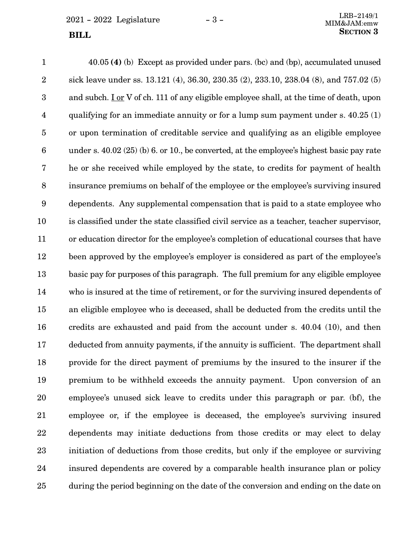$2021 - 2022$  Legislature  $-3 -$ 

40.05 **(4)** (b) Except as provided under pars. (bc) and (bp), accumulated unused sick leave under ss. 13.121 (4), 36.30, 230.35 (2), 233.10, 238.04 (8), and 757.02 (5) and subch.  $\underline{I}$  or V of ch. 111 of any eligible employee shall, at the time of death, upon qualifying for an immediate annuity or for a lump sum payment under s. 40.25 (1) or upon termination of creditable service and qualifying as an eligible employee under s. 40.02 (25) (b) 6. or 10., be converted, at the employee's highest basic pay rate he or she received while employed by the state, to credits for payment of health insurance premiums on behalf of the employee or the employee's surviving insured dependents. Any supplemental compensation that is paid to a state employee who is classified under the state classified civil service as a teacher, teacher supervisor, or education director for the employee's completion of educational courses that have been approved by the employee's employer is considered as part of the employee's basic pay for purposes of this paragraph. The full premium for any eligible employee who is insured at the time of retirement, or for the surviving insured dependents of an eligible employee who is deceased, shall be deducted from the credits until the credits are exhausted and paid from the account under s. 40.04 (10), and then deducted from annuity payments, if the annuity is sufficient. The department shall provide for the direct payment of premiums by the insured to the insurer if the premium to be withheld exceeds the annuity payment. Upon conversion of an employee's unused sick leave to credits under this paragraph or par. (bf), the employee or, if the employee is deceased, the employee's surviving insured dependents may initiate deductions from those credits or may elect to delay initiation of deductions from those credits, but only if the employee or surviving insured dependents are covered by a comparable health insurance plan or policy during the period beginning on the date of the conversion and ending on the date on 1 2 3 4 5 6 7 8 9 10 11 12 13 14 15 16 17 18 19 20 21 22 23 24 25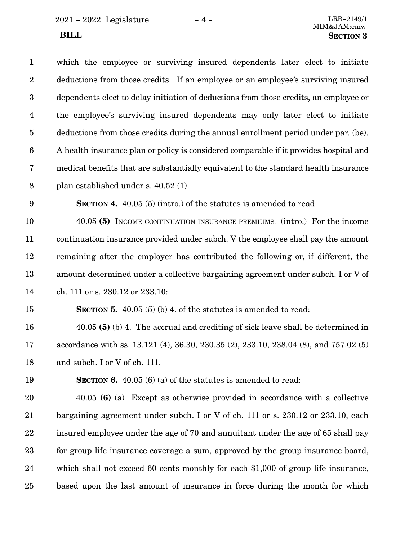| $\mathbf{1}$            | which the employee or surviving insured dependents later elect to initiate             |
|-------------------------|----------------------------------------------------------------------------------------|
| $\overline{2}$          | deductions from those credits. If an employee or an employee's surviving insured       |
| $\boldsymbol{3}$        | dependents elect to delay initiation of deductions from those credits, an employee or  |
| $\overline{\mathbf{4}}$ | the employee's surviving insured dependents may only later elect to initiate           |
| $\overline{5}$          | deductions from those credits during the annual enrollment period under par. (be).     |
| 6                       | A health insurance plan or policy is considered comparable if it provides hospital and |
| $\overline{7}$          | medical benefits that are substantially equivalent to the standard health insurance    |
| 8                       | plan established under s. 40.52 (1).                                                   |
| 9                       | <b>SECTION 4.</b> 40.05 (5) (intro.) of the statutes is amended to read:               |
| 10                      | 40.05 (5) INCOME CONTINUATION INSURANCE PREMIUMS. (intro.) For the income              |
| 11                      | continuation insurance provided under subch. V the employee shall pay the amount       |
| 12                      | remaining after the employer has contributed the following or, if different, the       |
| 13                      | amount determined under a collective bargaining agreement under subch. Lor V of        |
| 14                      | ch. 111 or s. 230.12 or 233.10:                                                        |
| 15                      | <b>SECTION 5.</b> 40.05 (5) (b) 4. of the statutes is amended to read:                 |
| 16                      | 40.05 (5) (b) 4. The accrual and crediting of sick leave shall be determined in        |

accordance with ss. 13.121 (4), 36.30, 230.35 (2), 233.10, 238.04 (8), and 757.02 (5) and subch. I or V of ch. 111. 17 18

19

**SECTION 6.** 40.05 (6) (a) of the statutes is amended to read:

40.05 **(6)** (a) Except as otherwise provided in accordance with a collective bargaining agreement under subch. Lor V of ch. 111 or s.  $230.12$  or  $233.10$ , each insured employee under the age of 70 and annuitant under the age of 65 shall pay for group life insurance coverage a sum, approved by the group insurance board, which shall not exceed 60 cents monthly for each \$1,000 of group life insurance, based upon the last amount of insurance in force during the month for which 20 21 22 23 24 25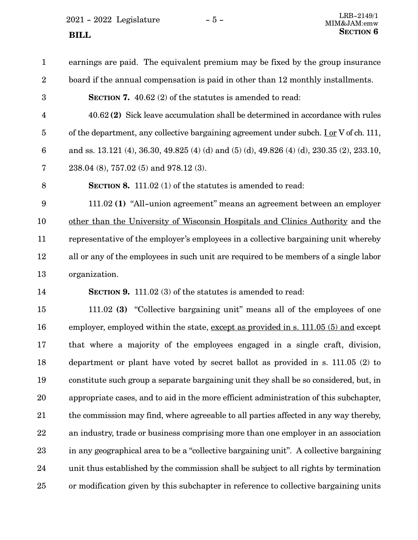$2021 - 2022$  Legislature  $-5 -$ 

# earnings are paid. The equivalent premium may be fixed by the group insurance board if the annual compensation is paid in other than 12 monthly installments. **SECTION 7.** 40.62 (2) of the statutes is amended to read:

40.62 **(2)** Sick leave accumulation shall be determined in accordance with rules of the department, any collective bargaining agreement under subch. I or V of ch. 111, and ss. 13.121 (4), 36.30, 49.825 (4) (d) and (5) (d), 49.826 (4) (d), 230.35 (2), 233.10, 4 5 6

238.04 (8), 757.02 (5) and 978.12 (3). 7

8

1

2

3

**SECTION 8.** 111.02 (1) of the statutes is amended to read:

111.02 **(1)** "All-union agreement" means an agreement between an employer other than the University of Wisconsin Hospitals and Clinics Authority and the representative of the employer's employees in a collective bargaining unit whereby all or any of the employees in such unit are required to be members of a single labor organization. 9 10 11 12 13

14

**SECTION 9.** 111.02 (3) of the statutes is amended to read:

111.02 **(3)** "Collective bargaining unit" means all of the employees of one employer, employed within the state, except as provided in s. 111.05 (5) and except that where a majority of the employees engaged in a single craft, division, department or plant have voted by secret ballot as provided in s. 111.05 (2) to constitute such group a separate bargaining unit they shall be so considered, but, in appropriate cases, and to aid in the more efficient administration of this subchapter, the commission may find, where agreeable to all parties affected in any way thereby, an industry, trade or business comprising more than one employer in an association in any geographical area to be a "collective bargaining unit". A collective bargaining unit thus established by the commission shall be subject to all rights by termination or modification given by this subchapter in reference to collective bargaining units 15 16 17 18 19 20 21 22 23 24 25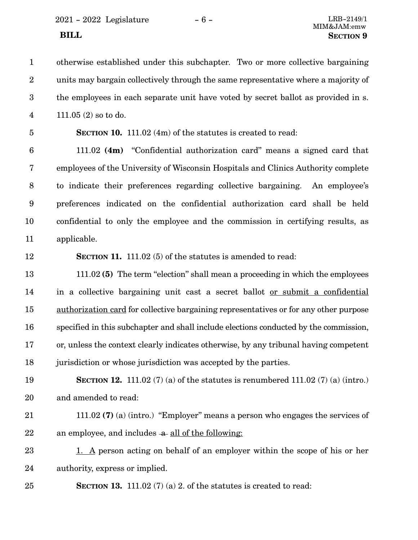2021 - 2022 Legislature - 6 - LRB-2149/1

otherwise established under this subchapter. Two or more collective bargaining units may bargain collectively through the same representative where a majority of the employees in each separate unit have voted by secret ballot as provided in s. 111.05 (2) so to do. 1 2 3 4

5

**SECTION 10.** 111.02 (4m) of the statutes is created to read:

111.02 **(4m)** "Confidential authorization card" means a signed card that employees of the University of Wisconsin Hospitals and Clinics Authority complete to indicate their preferences regarding collective bargaining. An employee's preferences indicated on the confidential authorization card shall be held confidential to only the employee and the commission in certifying results, as applicable. 6 7 8 9 10 11

12

**SECTION 11.** 111.02 (5) of the statutes is amended to read:

111.02 **(5)** The term "election" shall mean a proceeding in which the employees in a collective bargaining unit cast a secret ballot or submit a confidential authorization card for collective bargaining representatives or for any other purpose specified in this subchapter and shall include elections conducted by the commission, or, unless the context clearly indicates otherwise, by any tribunal having competent jurisdiction or whose jurisdiction was accepted by the parties. 13 14 15 16 17 18

**SECTION 12.** 111.02 (7) (a) of the statutes is renumbered 111.02 (7) (a) (intro.) and amended to read: 19 20

### 111.02 **(7)** (a) (intro.) "Employer" means a person who engages the services of an employee, and includes  $-a$  all of the following: 21 22

1. A person acting on behalf of an employer within the scope of his or her authority, express or implied. 23 24

**SECTION 13.** 111.02 (7) (a) 2. of the statutes is created to read: 25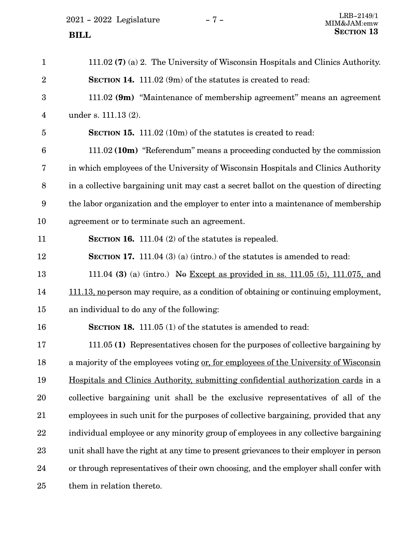| $\mathbf{1}$     | 111.02 $(7)$ (a) 2. The University of Wisconsin Hospitals and Clinics Authority.         |
|------------------|------------------------------------------------------------------------------------------|
| $\boldsymbol{2}$ | <b>SECTION 14.</b> 111.02 (9m) of the statutes is created to read:                       |
| 3                | 111.02 (9m) "Maintenance of membership agreement" means an agreement                     |
| 4                | under s. 111.13 (2).                                                                     |
| 5                | <b>SECTION 15.</b> 111.02 (10m) of the statutes is created to read:                      |
| $6\phantom{1}6$  | 111.02 (10m) "Referendum" means a proceeding conducted by the commission                 |
| 7                | in which employees of the University of Wisconsin Hospitals and Clinics Authority        |
| 8                | in a collective bargaining unit may cast a secret ballot on the question of directing    |
| $9\phantom{.0}$  | the labor organization and the employer to enter into a maintenance of membership        |
| 10               | agreement or to terminate such an agreement.                                             |
| 11               | SECTION 16. 111.04 $(2)$ of the statutes is repealed.                                    |
| 12               | <b>SECTION 17.</b> 111.04 (3) (a) (intro.) of the statutes is amended to read:           |
| 13               | 111.04 (3) (a) (intro.) No Except as provided in ss. $111.05$ (5), $111.075$ , and       |
| 14               | 111.13, no person may require, as a condition of obtaining or continuing employment,     |
| 15               | an individual to do any of the following:                                                |
| 16               | SECTION 18. 111.05 (1) of the statutes is amended to read:                               |
| 17               | 111.05 (1) Representatives chosen for the purposes of collective bargaining by           |
| 18               | a majority of the employees voting or, for employees of the University of Wisconsin      |
| 19               | <u>Hospitals and Clinics Authority, submitting confidential authorization cards</u> in a |
| 20               | collective bargaining unit shall be the exclusive representatives of all of the          |
| 21               | employees in such unit for the purposes of collective bargaining, provided that any      |
| 22               | individual employee or any minority group of employees in any collective bargaining      |
| 23               | unit shall have the right at any time to present grievances to their employer in person  |
| 24               | or through representatives of their own choosing, and the employer shall confer with     |
| 25               | them in relation thereto.                                                                |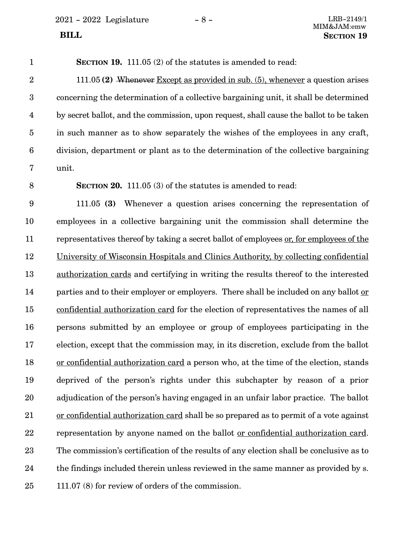2021 - 2022 Legislature - 8 - LRB-2149/1

**SECTION 19.** 111.05 (2) of the statutes is amended to read: 1

111.05 **(2)** Whenever Except as provided in sub. (5), whenever a question arises concerning the determination of a collective bargaining unit, it shall be determined by secret ballot, and the commission, upon request, shall cause the ballot to be taken in such manner as to show separately the wishes of the employees in any craft, division, department or plant as to the determination of the collective bargaining unit. 2 3 4 5 6 7

8

**SECTION 20.** 111.05 (3) of the statutes is amended to read:

111.05 **(3)** Whenever a question arises concerning the representation of employees in a collective bargaining unit the commission shall determine the representatives thereof by taking a secret ballot of employees or, for employees of the University of Wisconsin Hospitals and Clinics Authority, by collecting confidential authorization cards and certifying in writing the results thereof to the interested parties and to their employer or employers. There shall be included on any ballot or confidential authorization card for the election of representatives the names of all persons submitted by an employee or group of employees participating in the election, except that the commission may, in its discretion, exclude from the ballot or confidential authorization card a person who, at the time of the election, stands deprived of the person's rights under this subchapter by reason of a prior adjudication of the person's having engaged in an unfair labor practice. The ballot or confidential authorization card shall be so prepared as to permit of a vote against representation by anyone named on the ballot or confidential authorization card. The commission's certification of the results of any election shall be conclusive as to the findings included therein unless reviewed in the same manner as provided by s. 111.07 (8) for review of orders of the commission. 9 10 11 12 13 14 15 16 17 18 19 20 21 22 23 24 25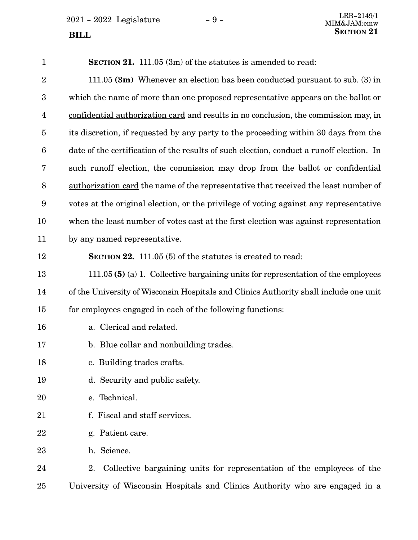$2021 - 2022$  Legislature  $-9 -$ <br>MIM&JAM·emw

| $\mathbf{1}$            | <b>SECTION 21.</b> 111.05 (3m) of the statutes is amended to read:                         |
|-------------------------|--------------------------------------------------------------------------------------------|
| $\overline{2}$          | 111.05 $(3m)$ Whenever an election has been conducted pursuant to sub. (3) in              |
| $\boldsymbol{3}$        | which the name of more than one proposed representative appears on the ballot or           |
| $\overline{\mathbf{4}}$ | confidential authorization card and results in no conclusion, the commission may, in       |
| $\overline{5}$          | its discretion, if requested by any party to the proceeding within 30 days from the        |
| $\boldsymbol{6}$        | date of the certification of the results of such election, conduct a runoff election. In   |
| 7                       | such runoff election, the commission may drop from the ballot <u>or confidential</u>       |
| $\, 8$                  | <u>authorization card</u> the name of the representative that received the least number of |
| 9                       | votes at the original election, or the privilege of voting against any representative      |
| 10                      | when the least number of votes cast at the first election was against representation       |
| 11                      | by any named representative.                                                               |
| 12                      | <b>SECTION 22.</b> 111.05 (5) of the statutes is created to read:                          |
| 13                      | 111.05 (5) (a) 1. Collective bargaining units for representation of the employees          |
| 14                      | of the University of Wisconsin Hospitals and Clinics Authority shall include one unit      |
| 15                      | for employees engaged in each of the following functions:                                  |
| 16                      | a. Clerical and related.                                                                   |
| 17                      | b. Blue collar and nonbuilding trades.                                                     |
| 18                      | c. Building trades crafts.                                                                 |
| 19                      | d. Security and public safety.                                                             |
| 20                      | e. Technical.                                                                              |
| 21                      | f. Fiscal and staff services.                                                              |
| 22                      | g. Patient care.                                                                           |
| 23                      | h. Science.                                                                                |
| 24                      | Collective bargaining units for representation of the employees of the<br>2.               |
| 25                      | University of Wisconsin Hospitals and Clinics Authority who are engaged in a               |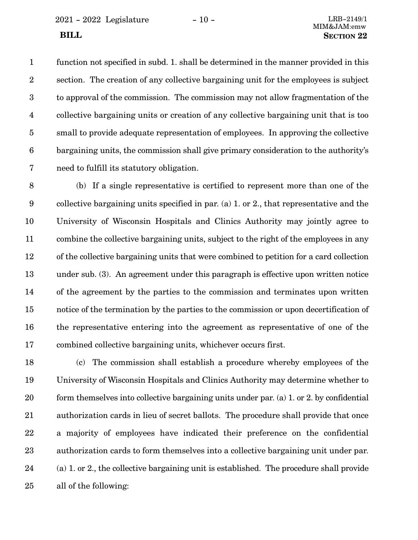2021 - 2022 Legislature - 10 - LRB-2149/1

function not specified in subd. 1. shall be determined in the manner provided in this section. The creation of any collective bargaining unit for the employees is subject to approval of the commission. The commission may not allow fragmentation of the collective bargaining units or creation of any collective bargaining unit that is too small to provide adequate representation of employees. In approving the collective bargaining units, the commission shall give primary consideration to the authority's need to fulfill its statutory obligation. 1 2 3 4 5 6 7

(b) If a single representative is certified to represent more than one of the collective bargaining units specified in par. (a) 1. or 2., that representative and the University of Wisconsin Hospitals and Clinics Authority may jointly agree to combine the collective bargaining units, subject to the right of the employees in any of the collective bargaining units that were combined to petition for a card collection under sub. (3). An agreement under this paragraph is effective upon written notice of the agreement by the parties to the commission and terminates upon written notice of the termination by the parties to the commission or upon decertification of the representative entering into the agreement as representative of one of the combined collective bargaining units, whichever occurs first. 8 9 10 11 12 13 14 15 16 17

(c) The commission shall establish a procedure whereby employees of the University of Wisconsin Hospitals and Clinics Authority may determine whether to form themselves into collective bargaining units under par. (a) 1. or 2. by confidential authorization cards in lieu of secret ballots. The procedure shall provide that once a majority of employees have indicated their preference on the confidential authorization cards to form themselves into a collective bargaining unit under par. (a) 1. or 2., the collective bargaining unit is established. The procedure shall provide all of the following: 18 19 20 21 22 23 24 25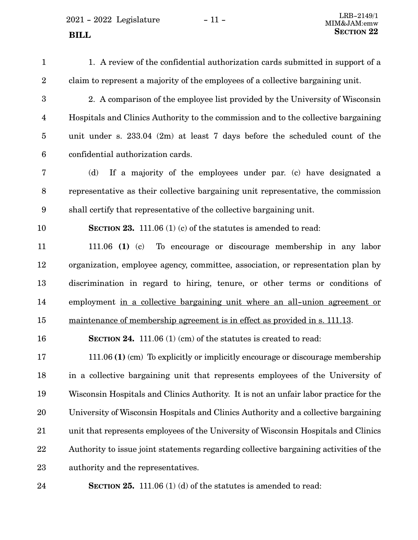$2021 - 2022$  Legislature  $-11 -$ **SECTION** 22

1. A review of the confidential authorization cards submitted in support of a claim to represent a majority of the employees of a collective bargaining unit. 2. A comparison of the employee list provided by the University of Wisconsin Hospitals and Clinics Authority to the commission and to the collective bargaining unit under s. 233.04 (2m) at least 7 days before the scheduled count of the confidential authorization cards. (d) If a majority of the employees under par. (c) have designated a representative as their collective bargaining unit representative, the commission shall certify that representative of the collective bargaining unit. **SECTION 23.** 111.06 (1) (c) of the statutes is amended to read: 111.06 **(1)** (c) To encourage or discourage membership in any labor organization, employee agency, committee, association, or representation plan by discrimination in regard to hiring, tenure, or other terms or conditions of employment in a collective bargaining unit where an all-union agreement or maintenance of membership agreement is in effect as provided in s. 111.13. **SECTION 24.** 111.06 (1) (cm) of the statutes is created to read: 111.06 **(1)** (cm) To explicitly or implicitly encourage or discourage membership in a collective bargaining unit that represents employees of the University of Wisconsin Hospitals and Clinics Authority. It is not an unfair labor practice for the University of Wisconsin Hospitals and Clinics Authority and a collective bargaining unit that represents employees of the University of Wisconsin Hospitals and Clinics Authority to issue joint statements regarding collective bargaining activities of the authority and the representatives. 1 2 3 4 5 6 7 8 9 10 11 12 13 14 15 16 17 18 19 20 21 22 23

**SECTION 25.** 111.06 (1) (d) of the statutes is amended to read: 24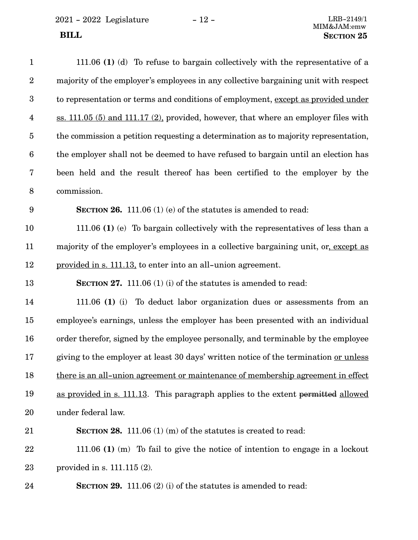$2021 - 2022$  Legislature  $-12 -$  LRB-2149/1

| $\mathbf{1}$            | 111.06 (1) (d) To refuse to bargain collectively with the representative of a           |
|-------------------------|-----------------------------------------------------------------------------------------|
| $\boldsymbol{2}$        | majority of the employer's employees in any collective bargaining unit with respect     |
| $\boldsymbol{3}$        | to representation or terms and conditions of employment, except as provided under       |
| $\overline{\mathbf{4}}$ | ss. $111.05$ (5) and $111.17$ (2), provided, however, that where an employer files with |
| $\overline{5}$          | the commission a petition requesting a determination as to majority representation,     |
| $\boldsymbol{6}$        | the employer shall not be deemed to have refused to bargain until an election has       |
| 7                       | been held and the result thereof has been certified to the employer by the              |
| $\, 8$                  | commission.                                                                             |
| $\boldsymbol{9}$        | <b>SECTION 26.</b> 111.06 (1) (e) of the statutes is amended to read:                   |
| 10                      | 111.06 (1) (e) To bargain collectively with the representatives of less than a          |
| 11                      | majority of the employer's employees in a collective bargaining unit, or, except as     |
| 12                      | provided in s. 111.13, to enter into an all-union agreement.                            |
| 13                      | SECTION 27. 111.06 (1) (i) of the statutes is amended to read:                          |
| 14                      | 111.06 (1) (i) To deduct labor organization dues or assessments from an                 |
| 15                      | employee's earnings, unless the employer has been presented with an individual          |
| 16                      | order therefor, signed by the employee personally, and terminable by the employee       |
| 17                      | giving to the employer at least 30 days' written notice of the termination or unless    |
| 18                      | there is an all-union agreement or maintenance of membership agreement in effect        |
| 19                      | as provided in s. 111.13. This paragraph applies to the extent permitted allowed        |
| 20                      | under federal law.                                                                      |
| 21                      | <b>SECTION 28.</b> 111.06 (1) (m) of the statures is created to read:                   |
| 22                      | 111.06 (1) (m) To fail to give the notice of intention to engage in a lockout           |
| 23                      | provided in s. $111.115(2)$ .                                                           |
| 24                      | <b>SECTION 29.</b> 111.06 (2) (i) of the statutes is amended to read:                   |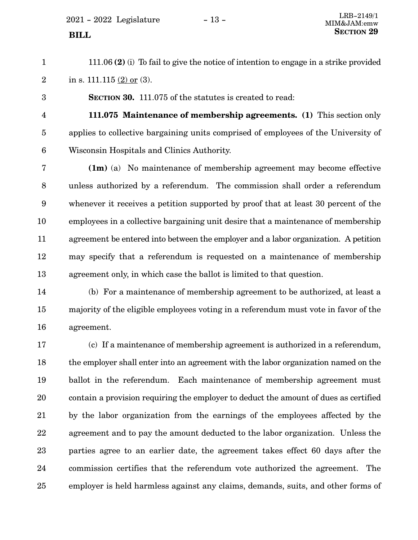$2021 - 2022$  Legislature  $-13 -$ 

111.06 **(2)** (i) To fail to give the notice of intention to engage in a strike provided in s.  $111.115 (2)$  or (3). 1 2

**SECTION 30.** 111.075 of the statutes is created to read:

4

5

6

3

**111.075 Maintenance of membership agreements. (1)** This section only applies to collective bargaining units comprised of employees of the University of Wisconsin Hospitals and Clinics Authority.

**(1m)** (a) No maintenance of membership agreement may become effective unless authorized by a referendum. The commission shall order a referendum whenever it receives a petition supported by proof that at least 30 percent of the employees in a collective bargaining unit desire that a maintenance of membership agreement be entered into between the employer and a labor organization. A petition may specify that a referendum is requested on a maintenance of membership agreement only, in which case the ballot is limited to that question. 7 8 9 10 11 12 13

(b) For a maintenance of membership agreement to be authorized, at least a majority of the eligible employees voting in a referendum must vote in favor of the agreement. 14 15 16

(c) If a maintenance of membership agreement is authorized in a referendum, the employer shall enter into an agreement with the labor organization named on the ballot in the referendum. Each maintenance of membership agreement must contain a provision requiring the employer to deduct the amount of dues as certified by the labor organization from the earnings of the employees affected by the agreement and to pay the amount deducted to the labor organization. Unless the parties agree to an earlier date, the agreement takes effect 60 days after the commission certifies that the referendum vote authorized the agreement. The employer is held harmless against any claims, demands, suits, and other forms of 17 18 19 20 21 22 23 24 25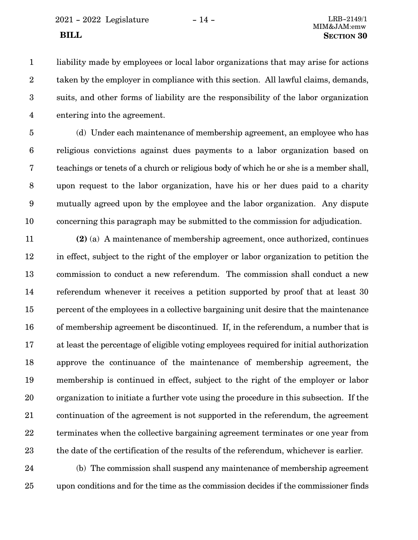liability made by employees or local labor organizations that may arise for actions taken by the employer in compliance with this section. All lawful claims, demands, suits, and other forms of liability are the responsibility of the labor organization entering into the agreement. 1 2 3 4

(d) Under each maintenance of membership agreement, an employee who has religious convictions against dues payments to a labor organization based on teachings or tenets of a church or religious body of which he or she is a member shall, upon request to the labor organization, have his or her dues paid to a charity mutually agreed upon by the employee and the labor organization. Any dispute concerning this paragraph may be submitted to the commission for adjudication. 5 6 7 8 9 10

**(2)** (a) A maintenance of membership agreement, once authorized, continues in effect, subject to the right of the employer or labor organization to petition the commission to conduct a new referendum. The commission shall conduct a new referendum whenever it receives a petition supported by proof that at least 30 percent of the employees in a collective bargaining unit desire that the maintenance of membership agreement be discontinued. If, in the referendum, a number that is at least the percentage of eligible voting employees required for initial authorization approve the continuance of the maintenance of membership agreement, the membership is continued in effect, subject to the right of the employer or labor organization to initiate a further vote using the procedure in this subsection. If the continuation of the agreement is not supported in the referendum, the agreement terminates when the collective bargaining agreement terminates or one year from the date of the certification of the results of the referendum, whichever is earlier. 11 12 13 14 15 16 17 18 19 20 21 22 23

(b) The commission shall suspend any maintenance of membership agreement upon conditions and for the time as the commission decides if the commissioner finds 24 25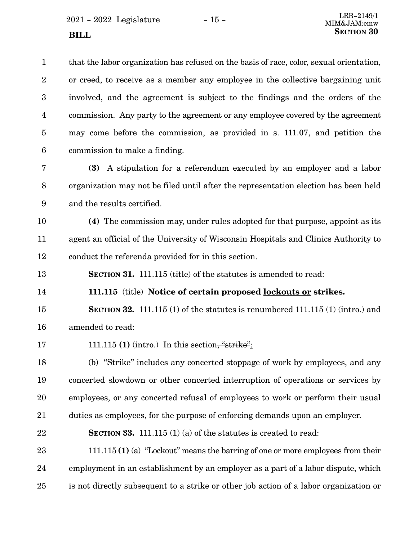that the labor organization has refused on the basis of race, color, sexual orientation, or creed, to receive as a member any employee in the collective bargaining unit involved, and the agreement is subject to the findings and the orders of the commission. Any party to the agreement or any employee covered by the agreement may come before the commission, as provided in s. 111.07, and petition the commission to make a finding. 1 2 3 4 5 6

**(3)** A stipulation for a referendum executed by an employer and a labor organization may not be filed until after the representation election has been held and the results certified. 7 8 9

**(4)** The commission may, under rules adopted for that purpose, appoint as its agent an official of the University of Wisconsin Hospitals and Clinics Authority to conduct the referenda provided for in this section. 10 11 12

**SECTION 31.** 111.115 (title) of the statutes is amended to read: 13

**111.115** (title) **Notice of certain proposed lockouts or strikes.** 14

**SECTION 32.** 111.115 (1) of the statutes is renumbered 111.115 (1) (intro.) and amended to read: 15 16

111.115 **(1)** (intro.) In this section, "strike": 17

(b) "Strike" includes any concerted stoppage of work by employees, and any concerted slowdown or other concerted interruption of operations or services by employees, or any concerted refusal of employees to work or perform their usual duties as employees, for the purpose of enforcing demands upon an employer. 18 19 20 21

**SECTION 33.** 111.115 (1) (a) of the statutes is created to read: 22

111.115 **(1)** (a) "Lockout" means the barring of one or more employees from their employment in an establishment by an employer as a part of a labor dispute, which is not directly subsequent to a strike or other job action of a labor organization or 23 24 25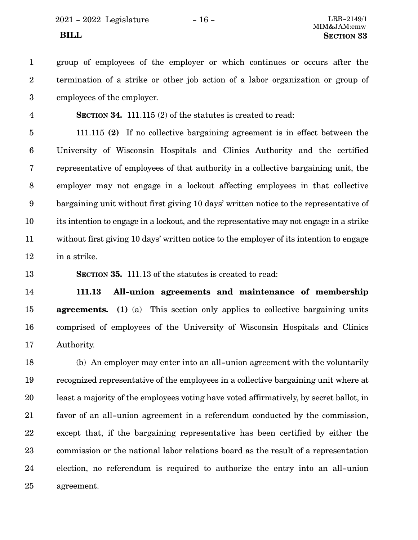group of employees of the employer or which continues or occurs after the termination of a strike or other job action of a labor organization or group of employees of the employer. 1 2 3

**SECTION** 34. 111.115 (2) of the statutes is created to read:

111.115 **(2)** If no collective bargaining agreement is in effect between the University of Wisconsin Hospitals and Clinics Authority and the certified representative of employees of that authority in a collective bargaining unit, the employer may not engage in a lockout affecting employees in that collective bargaining unit without first giving 10 days' written notice to the representative of its intention to engage in a lockout, and the representative may not engage in a strike without first giving 10 days' written notice to the employer of its intention to engage in a strike. 5 6 7 8 9 10 11 12

13

4

**SECTION 35.** 111.13 of the statutes is created to read:

**111.13 All-union agreements and maintenance of membership agreements.** (1) (a) This section only applies to collective bargaining units comprised of employees of the University of Wisconsin Hospitals and Clinics Authority. 14 15 16 17

(b) An employer may enter into an all-union agreement with the voluntarily recognized representative of the employees in a collective bargaining unit where at least a majority of the employees voting have voted affirmatively, by secret ballot, in favor of an all-union agreement in a referendum conducted by the commission, except that, if the bargaining representative has been certified by either the commission or the national labor relations board as the result of a representation election, no referendum is required to authorize the entry into an all-union agreement. 18 19 20 21 22 23 24 25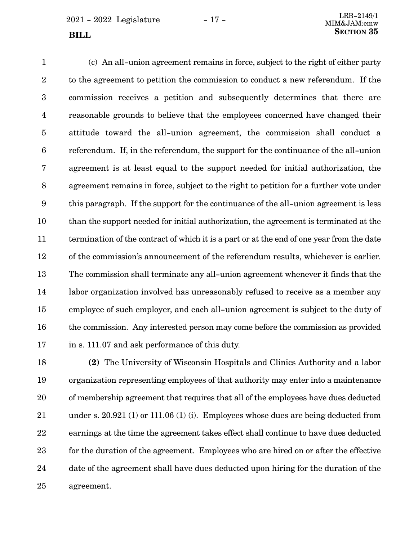(c) An all-union agreement remains in force, subject to the right of either party to the agreement to petition the commission to conduct a new referendum. If the commission receives a petition and subsequently determines that there are reasonable grounds to believe that the employees concerned have changed their attitude toward the all-union agreement, the commission shall conduct a referendum. If, in the referendum, the support for the continuance of the all-union agreement is at least equal to the support needed for initial authorization, the agreement remains in force, subject to the right to petition for a further vote under this paragraph. If the support for the continuance of the all-union agreement is less than the support needed for initial authorization, the agreement is terminated at the termination of the contract of which it is a part or at the end of one year from the date of the commission's announcement of the referendum results, whichever is earlier. The commission shall terminate any all-union agreement whenever it finds that the labor organization involved has unreasonably refused to receive as a member any employee of such employer, and each all-union agreement is subject to the duty of the commission. Any interested person may come before the commission as provided in s. 111.07 and ask performance of this duty. 1 2 3 4 5 6 7 8 9 10 11 12 13 14 15 16 17

**(2)** The University of Wisconsin Hospitals and Clinics Authority and a labor organization representing employees of that authority may enter into a maintenance of membership agreement that requires that all of the employees have dues deducted under s. 20.921 (1) or 111.06 (1) (i). Employees whose dues are being deducted from earnings at the time the agreement takes effect shall continue to have dues deducted for the duration of the agreement. Employees who are hired on or after the effective date of the agreement shall have dues deducted upon hiring for the duration of the agreement. 18 19 20 21 22 23 24 25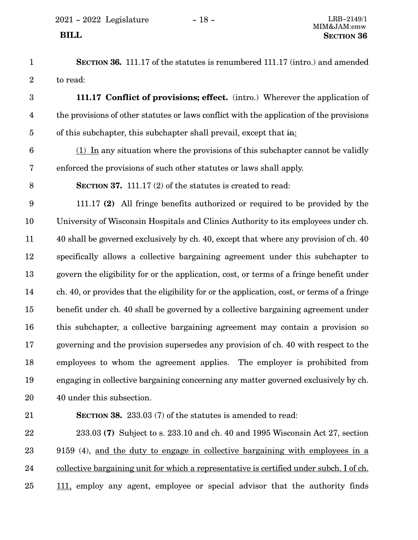- **SECTION 36.** 111.17 of the statutes is renumbered 111.17 (intro.) and amended to read: 1 2
- **111.17 Conflict of provisions; effect.** (intro.) Wherever the application of the provisions of other statutes or laws conflict with the application of the provisions of this subchapter, this subchapter shall prevail, except that in: 3 4 5
- (1) In any situation where the provisions of this subchapter cannot be validly enforced the provisions of such other statutes or laws shall apply. 6 7
- **SECTION 37.** 111.17 (2) of the statutes is created to read: 8

111.17 **(2)** All fringe benefits authorized or required to be provided by the University of Wisconsin Hospitals and Clinics Authority to its employees under ch. 40 shall be governed exclusively by ch. 40, except that where any provision of ch. 40 specifically allows a collective bargaining agreement under this subchapter to govern the eligibility for or the application, cost, or terms of a fringe benefit under ch. 40, or provides that the eligibility for or the application, cost, or terms of a fringe benefit under ch. 40 shall be governed by a collective bargaining agreement under this subchapter, a collective bargaining agreement may contain a provision so governing and the provision supersedes any provision of ch. 40 with respect to the employees to whom the agreement applies. The employer is prohibited from engaging in collective bargaining concerning any matter governed exclusively by ch. 40 under this subsection. 9 10 11 12 13 14 15 16 17 18 19 20

21

**SECTION 38.** 233.03 (7) of the statutes is amended to read:

233.03 **(7)** Subject to s. 233.10 and ch. 40 and 1995 Wisconsin Act 27, section 9159 (4), and the duty to engage in collective bargaining with employees in a collective bargaining unit for which a representative is certified under subch. I of ch. 111, employ any agent, employee or special advisor that the authority finds 22 23 24 25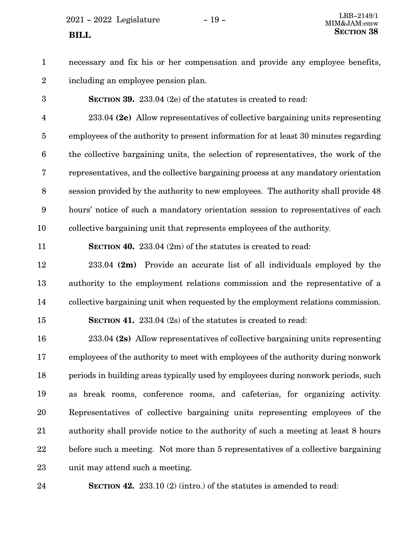$2021 - 2022$  Legislature  $-19 -$ 

necessary and fix his or her compensation and provide any employee benefits, including an employee pension plan. 1 2

**SECTION 39.** 233.04 (2e) of the statutes is created to read: 3

233.04 **(2e)** Allow representatives of collective bargaining units representing employees of the authority to present information for at least 30 minutes regarding the collective bargaining units, the selection of representatives, the work of the representatives, and the collective bargaining process at any mandatory orientation session provided by the authority to new employees. The authority shall provide 48 hours' notice of such a mandatory orientation session to representatives of each collective bargaining unit that represents employees of the authority. 4 5 6 7 8 9 10

11

15

**SECTION 40.** 233.04 (2m) of the statutes is created to read:

233.04 **(2m)** Provide an accurate list of all individuals employed by the authority to the employment relations commission and the representative of a collective bargaining unit when requested by the employment relations commission. 12 13 14

**SECTION 41.** 233.04 (2s) of the statutes is created to read:

233.04 **(2s)** Allow representatives of collective bargaining units representing employees of the authority to meet with employees of the authority during nonwork periods in building areas typically used by employees during nonwork periods, such as break rooms, conference rooms, and cafeterias, for organizing activity. Representatives of collective bargaining units representing employees of the authority shall provide notice to the authority of such a meeting at least 8 hours before such a meeting. Not more than 5 representatives of a collective bargaining unit may attend such a meeting. 16 17 18 19 20 21 22 23

**SECTION 42.** 233.10 (2) (intro.) of the statutes is amended to read: 24